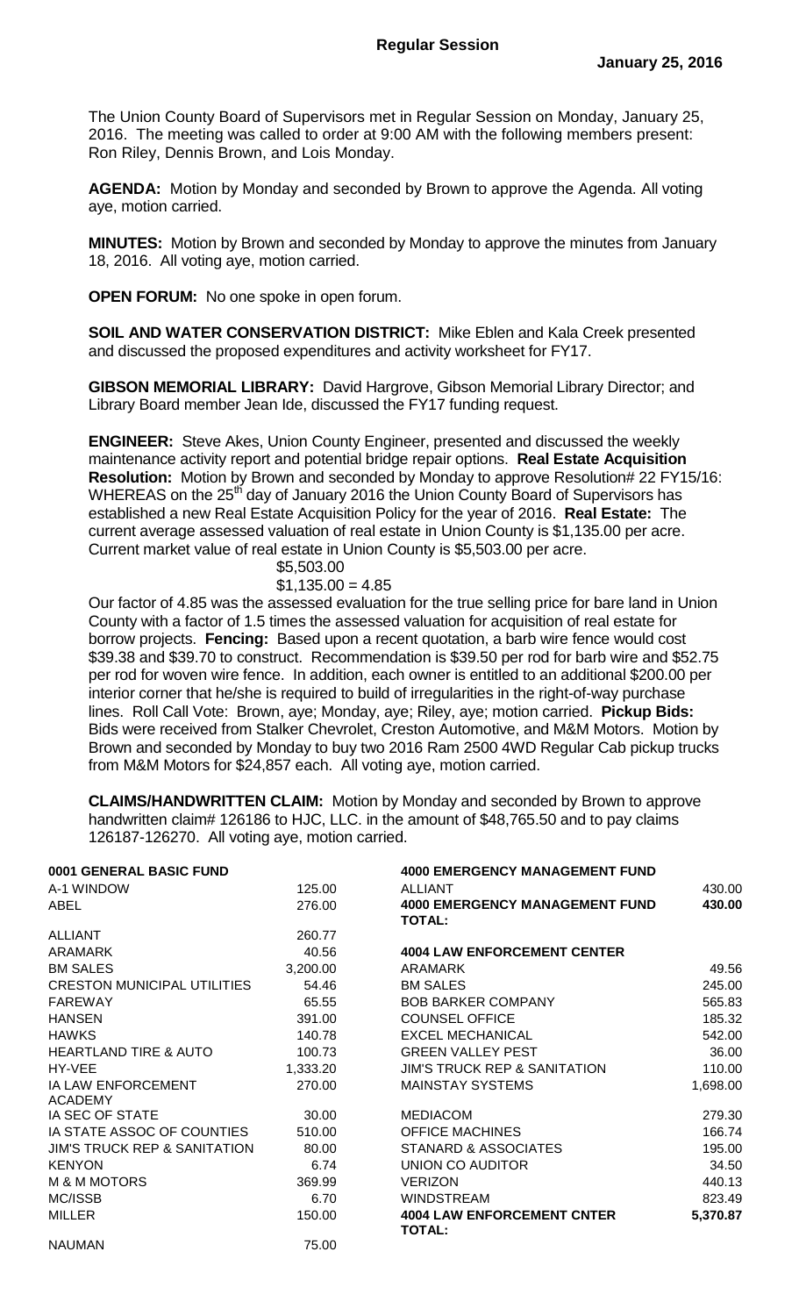The Union County Board of Supervisors met in Regular Session on Monday, January 25, 2016. The meeting was called to order at 9:00 AM with the following members present: Ron Riley, Dennis Brown, and Lois Monday.

**AGENDA:** Motion by Monday and seconded by Brown to approve the Agenda. All voting aye, motion carried.

**MINUTES:** Motion by Brown and seconded by Monday to approve the minutes from January 18, 2016. All voting aye, motion carried.

**OPEN FORUM:** No one spoke in open forum.

**SOIL AND WATER CONSERVATION DISTRICT:** Mike Eblen and Kala Creek presented and discussed the proposed expenditures and activity worksheet for FY17.

**GIBSON MEMORIAL LIBRARY:** David Hargrove, Gibson Memorial Library Director; and Library Board member Jean Ide, discussed the FY17 funding request.

**ENGINEER:** Steve Akes, Union County Engineer, presented and discussed the weekly maintenance activity report and potential bridge repair options. **Real Estate Acquisition Resolution:** Motion by Brown and seconded by Monday to approve Resolution# 22 FY15/16: WHEREAS on the 25<sup>th</sup> day of January 2016 the Union County Board of Supervisors has established a new Real Estate Acquisition Policy for the year of 2016. **Real Estate:** The current average assessed valuation of real estate in Union County is \$1,135.00 per acre. Current market value of real estate in Union County is \$5,503.00 per acre.

## \$5,503.00

## $$1,135.00 = 4.85$

Our factor of 4.85 was the assessed evaluation for the true selling price for bare land in Union County with a factor of 1.5 times the assessed valuation for acquisition of real estate for borrow projects. **Fencing:** Based upon a recent quotation, a barb wire fence would cost \$39.38 and \$39.70 to construct. Recommendation is \$39.50 per rod for barb wire and \$52.75 per rod for woven wire fence. In addition, each owner is entitled to an additional \$200.00 per interior corner that he/she is required to build of irregularities in the right-of-way purchase lines. Roll Call Vote: Brown, aye; Monday, aye; Riley, aye; motion carried. **Pickup Bids:**  Bids were received from Stalker Chevrolet, Creston Automotive, and M&M Motors. Motion by Brown and seconded by Monday to buy two 2016 Ram 2500 4WD Regular Cab pickup trucks from M&M Motors for \$24,857 each. All voting aye, motion carried.

**CLAIMS/HANDWRITTEN CLAIM:** Motion by Monday and seconded by Brown to approve handwritten claim# 126186 to HJC, LLC. in the amount of \$48,765.50 and to pay claims 126187-126270. All voting aye, motion carried.

| 0001 GENERAL BASIC FUND                 |          | <b>4000 EMERGENCY MANAGEMENT FUND</b>                  |          |
|-----------------------------------------|----------|--------------------------------------------------------|----------|
| A-1 WINDOW                              | 125.00   | <b>ALLIANT</b>                                         | 430.00   |
| ABEL                                    | 276.00   | <b>4000 EMERGENCY MANAGEMENT FUND</b><br><b>TOTAL:</b> | 430.00   |
| <b>ALLIANT</b>                          | 260.77   |                                                        |          |
| <b>ARAMARK</b>                          | 40.56    | <b>4004 LAW ENFORCEMENT CENTER</b>                     |          |
| <b>BM SALES</b>                         | 3,200.00 | <b>ARAMARK</b>                                         | 49.56    |
| <b>CRESTON MUNICIPAL UTILITIES</b>      | 54.46    | <b>BM SALES</b>                                        | 245.00   |
| <b>FAREWAY</b>                          | 65.55    | <b>BOB BARKER COMPANY</b>                              | 565.83   |
| <b>HANSEN</b>                           | 391.00   | <b>COUNSEL OFFICE</b>                                  | 185.32   |
| <b>HAWKS</b>                            | 140.78   | <b>EXCEL MECHANICAL</b>                                | 542.00   |
| <b>HEARTLAND TIRE &amp; AUTO</b>        | 100.73   | <b>GREEN VALLEY PEST</b>                               | 36.00    |
| HY-VEE                                  | 1,333.20 | <b>JIM'S TRUCK REP &amp; SANITATION</b>                | 110.00   |
| IA LAW ENFORCEMENT<br><b>ACADEMY</b>    | 270.00   | <b>MAINSTAY SYSTEMS</b>                                | 1,698.00 |
| IA SEC OF STATE                         | 30.00    | <b>MEDIACOM</b>                                        | 279.30   |
| IA STATE ASSOC OF COUNTIES              | 510.00   | <b>OFFICE MACHINES</b>                                 | 166.74   |
| <b>JIM'S TRUCK REP &amp; SANITATION</b> | 80.00    | STANARD & ASSOCIATES                                   | 195.00   |
| <b>KENYON</b>                           | 6.74     | UNION CO AUDITOR                                       | 34.50    |
| <b>M &amp; M MOTORS</b>                 | 369.99   | <b>VERIZON</b>                                         | 440.13   |
| MC/ISSB                                 | 6.70     | <b>WINDSTREAM</b>                                      | 823.49   |
| <b>MILLER</b>                           | 150.00   | <b>4004 LAW ENFORCEMENT CNTER</b><br><b>TOTAL:</b>     | 5,370.87 |
| <b>NAUMAN</b>                           | 75.00    |                                                        |          |